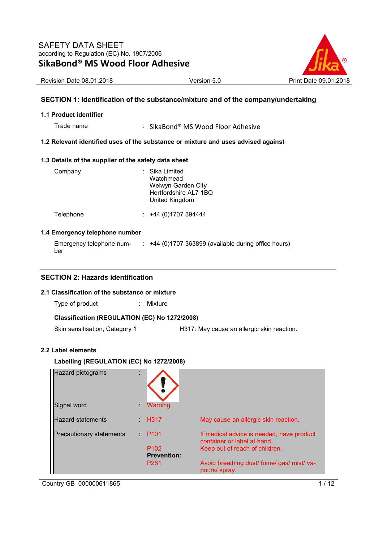

Revision Date 08.01.2018 Version 5.0 Print Date 09.01.2018

#### **SECTION 1: Identification of the substance/mixture and of the company/undertaking**

#### **1.1 Product identifier**

Trade name : SikaBond® MS Wood Floor Adhesive

#### **1.2 Relevant identified uses of the substance or mixture and uses advised against**

#### **1.3 Details of the supplier of the safety data sheet**

| Company   | : Sika Limited<br>Watchmead<br>Welwyn Garden City<br>Hertfordshire AL7 1BQ<br>United Kingdom |
|-----------|----------------------------------------------------------------------------------------------|
| Telephone | $: +44(0)1707394444$                                                                         |

#### **1.4 Emergency telephone number**

| Emergency telephone num- | +44 (0)1707 363899 (available during office hours) |
|--------------------------|----------------------------------------------------|
| ber                      |                                                    |

#### **SECTION 2: Hazards identification**

#### **2.1 Classification of the substance or mixture**

Type of product : Mixture

#### **Classification (REGULATION (EC) No 1272/2008)**

Skin sensitisation, Category 1 H317: May cause an allergic skin reaction.

#### **2.2 Label elements**

#### **Labelling (REGULATION (EC) No 1272/2008)**

| <b>Hazard pictograms</b>        |                                        |                                                                          |
|---------------------------------|----------------------------------------|--------------------------------------------------------------------------|
| Signal word                     | Warning                                |                                                                          |
| <b>Hazard statements</b>        | <b>H317</b>                            | May cause an allergic skin reaction.                                     |
| <b>Precautionary statements</b> | P <sub>101</sub>                       | If medical advice is needed, have product<br>container or label at hand. |
|                                 | P <sub>102</sub><br><b>Prevention:</b> | Keep out of reach of children.                                           |
|                                 | P <sub>261</sub>                       | Avoid breathing dust/ fume/ gas/ mist/ va-<br>pours/ spray.              |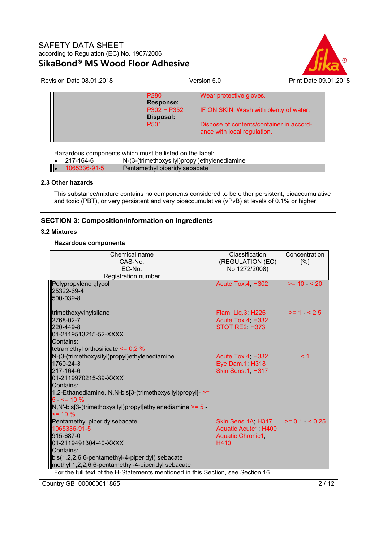

| <b>Revision Date 08.01.2018</b> |                                      | Version 5.0                                                             | Print Date 09.01.2018 |  |
|---------------------------------|--------------------------------------|-------------------------------------------------------------------------|-----------------------|--|
|                                 | P <sub>280</sub><br><b>Response:</b> | Wear protective gloves.                                                 |                       |  |
|                                 | $P302 + P352$<br>Disposal:           | IF ON SKIN: Wash with plenty of water.                                  |                       |  |
|                                 | P <sub>501</sub>                     | Dispose of contents/container in accord-<br>ance with local regulation. |                       |  |
|                                 |                                      |                                                                         |                       |  |

Hazardous components which must be listed on the label:

| .<br>217-164-6     | N-(3-(trimethoxysilyl)propyl)ethylenediamine |
|--------------------|----------------------------------------------|
| $1065336 - 91 - 5$ | Pentamethyl piperidylsebacate                |

#### **2.3 Other hazards**

This substance/mixture contains no components considered to be either persistent, bioaccumulative and toxic (PBT), or very persistent and very bioaccumulative (vPvB) at levels of 0.1% or higher.

### **SECTION 3: Composition/information on ingredients**

#### **3.2 Mixtures**

#### **Hazardous components**

| Chemical name<br>CAS-No.<br>EC-No.                                                                                                                                                                                                                                                           | Classification<br>(REGULATION (EC)<br>No 1272/2008)                           | Concentration<br>[%] |
|----------------------------------------------------------------------------------------------------------------------------------------------------------------------------------------------------------------------------------------------------------------------------------------------|-------------------------------------------------------------------------------|----------------------|
| Registration number                                                                                                                                                                                                                                                                          |                                                                               |                      |
| Polypropylene glycol<br>25322-69-4<br>500-039-8                                                                                                                                                                                                                                              | Acute Tox.4 H302                                                              | $>= 10 \le 20$       |
| trimethoxyvinylsilane<br>2768-02-7<br>220-449-8<br>01-2119513215-52-XXXX<br>Contains:<br>tetramethyl orthosilicate $\leq 0.2$ %                                                                                                                                                              | Flam. Lig.3, H226<br>Acute Tox.4, H332<br>STOT RE2, H373                      | $>= 1$ < 2.5         |
| N-(3-(trimethoxysilyl)propyl)ethylenediamine<br>1760-24-3<br>217-164-6<br>01-2119970215-39-XXXX<br>Contains:<br>1,2-Ethanediamine, N,N-bis[3-(trimethoxysilyl)propyl]- >=<br>$5 - 5 = 10 \%$<br>$N, N'-bis[3-(trimethoxysilyl)propyl]$ ethylenediamine $>= 5 -$<br>$= 10 \%$                 | Acute Tox.4, H332<br>Eye Dam.1, H318<br>Skin Sens.1, H317                     | < 1                  |
| Pentamethyl piperidylsebacate<br>1065336-91-5<br>915-687-0<br>01-2119491304-40-XXXX<br>Contains:<br>bis(1,2,2,6,6-pentamethyl-4-piperidyl) sebacate<br>methyl 1,2,2,6,6-pentamethyl-4-piperidyl sebacate<br>For the full text of the H-Statements mentioned in this Section, see Section 16. | Skin Sens.1A, H317<br>Aquatic Acute1, H400<br><b>Aquatic Chronic1</b><br>H410 | $>= 0.1$ < 0.25      |

Country GB 000000611865 2/12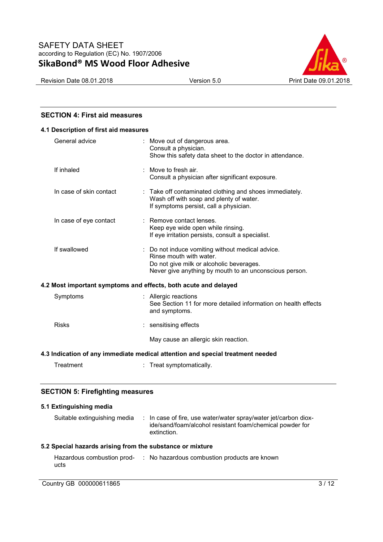



#### **SECTION 4: First aid measures**

| 4.1 Description of first aid measures                                          |                                                                                                                                                                                   |  |  |  |
|--------------------------------------------------------------------------------|-----------------------------------------------------------------------------------------------------------------------------------------------------------------------------------|--|--|--|
| General advice                                                                 | : Move out of dangerous area.<br>Consult a physician.<br>Show this safety data sheet to the doctor in attendance.                                                                 |  |  |  |
| If inhaled                                                                     | Move to fresh air.<br>Consult a physician after significant exposure.                                                                                                             |  |  |  |
| In case of skin contact                                                        | : Take off contaminated clothing and shoes immediately.<br>Wash off with soap and plenty of water.<br>If symptoms persist, call a physician.                                      |  |  |  |
| In case of eye contact                                                         | : Remove contact lenses.<br>Keep eye wide open while rinsing.<br>If eye irritation persists, consult a specialist.                                                                |  |  |  |
| If swallowed                                                                   | : Do not induce vomiting without medical advice.<br>Rinse mouth with water.<br>Do not give milk or alcoholic beverages.<br>Never give anything by mouth to an unconscious person. |  |  |  |
| 4.2 Most important symptoms and effects, both acute and delayed                |                                                                                                                                                                                   |  |  |  |
| Symptoms                                                                       | : Allergic reactions<br>See Section 11 for more detailed information on health effects<br>and symptoms.                                                                           |  |  |  |
| <b>Risks</b>                                                                   | : sensitising effects                                                                                                                                                             |  |  |  |
|                                                                                | May cause an allergic skin reaction.                                                                                                                                              |  |  |  |
| 4.3 Indication of any immediate medical attention and special treatment needed |                                                                                                                                                                                   |  |  |  |
| Treatment                                                                      | : Treat symptomatically.                                                                                                                                                          |  |  |  |

#### **SECTION 5: Firefighting measures**

# **5.1 Extinguishing media**

| Suitable extinguishing media | : In case of fire, use water/water spray/water jet/carbon diox-<br>ide/sand/foam/alcohol resistant foam/chemical powder for<br>extinction. |
|------------------------------|--------------------------------------------------------------------------------------------------------------------------------------------|
|                              |                                                                                                                                            |

#### **5.2 Special hazards arising from the substance or mixture**

| Hazardous combustion prod- | : No hazardous combustion products are known |
|----------------------------|----------------------------------------------|
| ucts                       |                                              |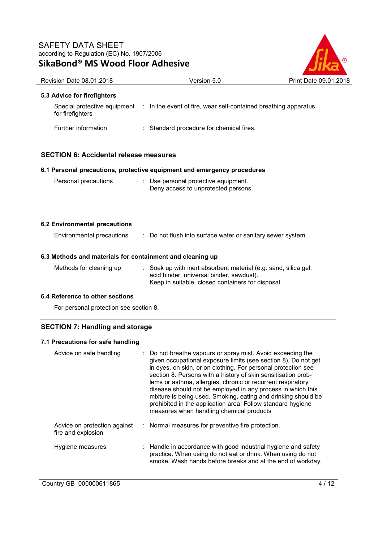

| <b>Revision Date 08.01.2018</b>                           | Version 5.0                                                                                                                                                    | Print Date 09.01.2018 |
|-----------------------------------------------------------|----------------------------------------------------------------------------------------------------------------------------------------------------------------|-----------------------|
| 5.3 Advice for firefighters                               |                                                                                                                                                                |                       |
| for firefighters                                          | Special protective equipment : In the event of fire, wear self-contained breathing apparatus.                                                                  |                       |
| Further information                                       | : Standard procedure for chemical fires.                                                                                                                       |                       |
| <b>SECTION 6: Accidental release measures</b>             |                                                                                                                                                                |                       |
|                                                           | 6.1 Personal precautions, protective equipment and emergency procedures                                                                                        |                       |
| Personal precautions                                      | : Use personal protective equipment.<br>Deny access to unprotected persons.                                                                                    |                       |
| <b>6.2 Environmental precautions</b>                      |                                                                                                                                                                |                       |
| Environmental precautions                                 | : Do not flush into surface water or sanitary sewer system.                                                                                                    |                       |
| 6.3 Methods and materials for containment and cleaning up |                                                                                                                                                                |                       |
| Methods for cleaning up                                   | Soak up with inert absorbent material (e.g. sand, silica gel,<br>acid binder, universal binder, sawdust).<br>Keep in suitable, closed containers for disposal. |                       |
| 6.4 Reference to other sections                           |                                                                                                                                                                |                       |
| For personal protection see section 8.                    |                                                                                                                                                                |                       |

# **7.1 Precautions for safe handling**

| Advice on safe handling                            | : Do not breathe vapours or spray mist. Avoid exceeding the<br>given occupational exposure limits (see section 8). Do not get<br>in eyes, on skin, or on clothing. For personal protection see<br>section 8. Persons with a history of skin sensitisation prob-<br>lems or asthma, allergies, chronic or recurrent respiratory<br>disease should not be employed in any process in which this<br>mixture is being used. Smoking, eating and drinking should be<br>prohibited in the application area. Follow standard hygiene<br>measures when handling chemical products |
|----------------------------------------------------|---------------------------------------------------------------------------------------------------------------------------------------------------------------------------------------------------------------------------------------------------------------------------------------------------------------------------------------------------------------------------------------------------------------------------------------------------------------------------------------------------------------------------------------------------------------------------|
| Advice on protection against<br>fire and explosion | : Normal measures for preventive fire protection.                                                                                                                                                                                                                                                                                                                                                                                                                                                                                                                         |
| Hygiene measures                                   | : Handle in accordance with good industrial hygiene and safety<br>practice. When using do not eat or drink. When using do not<br>smoke. Wash hands before breaks and at the end of workday.                                                                                                                                                                                                                                                                                                                                                                               |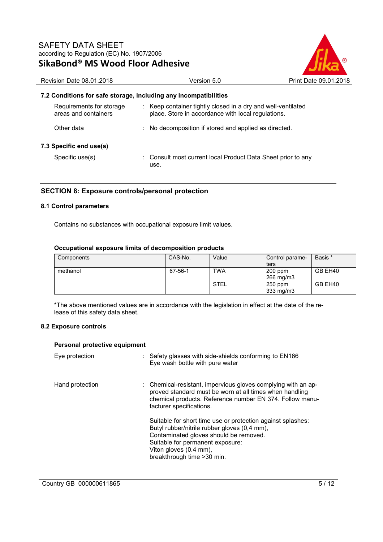

# **7.2 Conditions for safe storage, including any incompatibilities**

| Requirements for storage<br>areas and containers |  | : Keep container tightly closed in a dry and well-ventilated<br>place. Store in accordance with local regulations. |  |  |
|--------------------------------------------------|--|--------------------------------------------------------------------------------------------------------------------|--|--|
| Other data                                       |  | : No decomposition if stored and applied as directed.                                                              |  |  |
| 7.3 Specific end use(s)                          |  |                                                                                                                    |  |  |
| Specific use(s)                                  |  | : Consult most current local Product Data Sheet prior to any<br>use.                                               |  |  |

#### **SECTION 8: Exposure controls/personal protection**

#### **8.1 Control parameters**

Contains no substances with occupational exposure limit values.

#### **Occupational exposure limits of decomposition products**

| Components | CAS-No. | Value       | Control parame-        | Basis * |
|------------|---------|-------------|------------------------|---------|
|            |         |             | ters                   |         |
| methanol   | 67-56-1 | <b>TWA</b>  | $200$ ppm<br>266 mg/m3 | GB EH40 |
|            |         | <b>STEL</b> | $250$ ppm<br>333 mg/m3 | GB EH40 |

\*The above mentioned values are in accordance with the legislation in effect at the date of the release of this safety data sheet.

#### **8.2 Exposure controls**

#### **Personal protective equipment**

| Eye protection  | : Safety glasses with side-shields conforming to EN166<br>Eye wash bottle with pure water                                                                                                                                                          |
|-----------------|----------------------------------------------------------------------------------------------------------------------------------------------------------------------------------------------------------------------------------------------------|
| Hand protection | : Chemical-resistant, impervious gloves complying with an ap-<br>proved standard must be worn at all times when handling<br>chemical products. Reference number EN 374. Follow manu-<br>facturer specifications.                                   |
|                 | Suitable for short time use or protection against splashes:<br>Butyl rubber/nitrile rubber gloves (0,4 mm),<br>Contaminated gloves should be removed.<br>Suitable for permanent exposure:<br>Viton gloves (0.4 mm),<br>breakthrough time > 30 min. |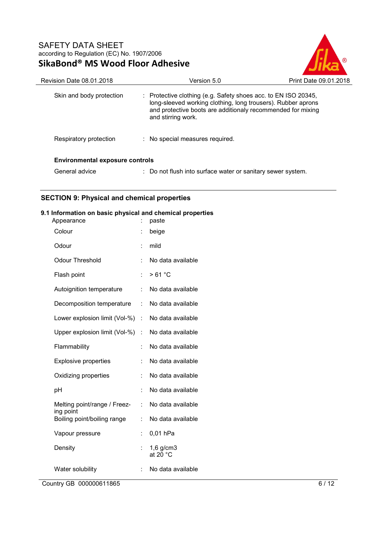

| Revision Date 08.01.2018               | Version 5.0                                                                                                                                                                                                                    | Print Date 09.01.2018 |
|----------------------------------------|--------------------------------------------------------------------------------------------------------------------------------------------------------------------------------------------------------------------------------|-----------------------|
| Skin and body protection               | $\therefore$ Protective clothing (e.g. Safety shoes acc. to EN ISO 20345,<br>long-sleeved working clothing, long trousers). Rubber aprons<br>and protective boots are additionaly recommended for mixing<br>and stirring work. |                       |
| Respiratory protection                 | : No special measures required.                                                                                                                                                                                                |                       |
| <b>Environmental exposure controls</b> |                                                                                                                                                                                                                                |                       |
| General advice                         | : Do not flush into surface water or sanitary sewer system.                                                                                                                                                                    |                       |

# **SECTION 9: Physical and chemical properties**

#### **9.1 Information on basic physical and chemical properties**

| Appearance                                |    | paste                                |
|-------------------------------------------|----|--------------------------------------|
| Colour                                    |    | beige                                |
| Odour                                     |    | mild                                 |
| <b>Odour Threshold</b>                    | t  | No data available                    |
| Flash point                               | t  | >61 °C                               |
| Autoignition temperature                  | t  | No data available                    |
| Decomposition temperature                 | t. | No data available                    |
| Lower explosion limit (Vol-%)             | ÷. | No data available                    |
| Upper explosion limit (Vol-%)             | t. | No data available                    |
| Flammability                              |    | No data available                    |
| <b>Explosive properties</b>               |    | No data available                    |
| Oxidizing properties                      |    | No data available                    |
| pH                                        |    | No data available                    |
| Melting point/range / Freez-<br>ing point | t. | No data available                    |
| Boiling point/boiling range               |    | No data available                    |
| Vapour pressure                           |    | 0,01 hPa                             |
| Density                                   |    | $1,6$ g/cm $3$<br>at 20 $^{\circ}$ C |
| Water solubility                          |    | No data available                    |

Country GB 000000611865 6 / 12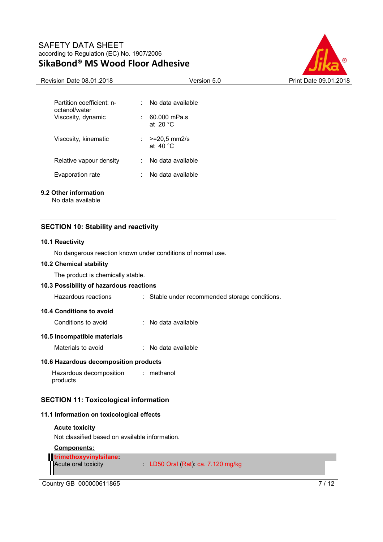

| Partition coefficient: n-<br>octanol/water | No data available                          |
|--------------------------------------------|--------------------------------------------|
| Viscosity, dynamic                         | $: 60.000$ mPa.s<br>at $20^{\circ}$ C      |
| Viscosity, kinematic                       | $>= 20.5$ mm2/s<br>÷.<br>at $40^{\circ}$ C |
| Relative vapour density                    | No data available                          |
| Evaporation rate                           | No data available                          |
|                                            |                                            |

### **9.2 Other information**

No data available

#### **SECTION 10: Stability and reactivity**

#### **10.1 Reactivity**

No dangerous reaction known under conditions of normal use.

#### **10.2 Chemical stability**

The product is chemically stable.

#### **10.3 Possibility of hazardous reactions**

| Hazardous reactions | : Stable under recommended storage conditions. |
|---------------------|------------------------------------------------|
|---------------------|------------------------------------------------|

#### **10.4 Conditions to avoid**

Conditions to avoid : No data available

#### **10.5 Incompatible materials**

| Materials to avoid<br>No data available |
|-----------------------------------------|
|-----------------------------------------|

#### **10.6 Hazardous decomposition products**

Hazardous decomposition products : methanol

#### **SECTION 11: Toxicological information**

#### **11.1 Information on toxicological effects**

#### **Acute toxicity**

Not classified based on available information.

# **Components: trimethoxyvinylsilane:**  Acute oral toxicity : LD50 Oral (Rat): ca. 7.120 mg/kg

Country GB 000000611865 7/12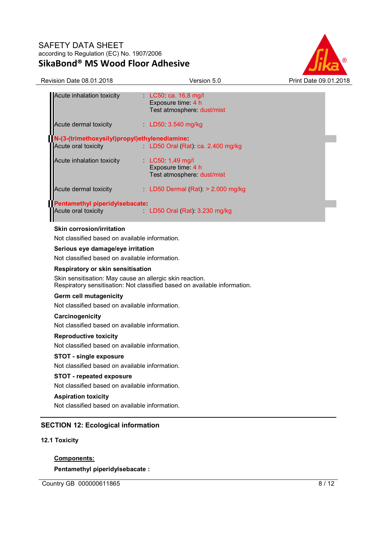

| <b>Revision Date 08.01.2018</b>                                                                      | Version 5.0                                                               | Print Date 09.01.2018 |
|------------------------------------------------------------------------------------------------------|---------------------------------------------------------------------------|-----------------------|
| Acute inhalation toxicity                                                                            | $LC50$ ca. 16,8 mg/l<br>Exposure time: 4 h<br>Test atmosphere: dust/mist  |                       |
| Acute dermal toxicity                                                                                | LD50 3.540 mg/kg                                                          |                       |
| N-(3-(trimethoxysilyl)propyl)ethylenediamine:<br>Acute oral toxicity                                 | LD50 Oral (Rat): ca. 2.400 mg/kg                                          |                       |
| Acute inhalation toxicity                                                                            | LC50 1,49 mg/l<br>Exposure time: 4 h<br>Test atmosphere: dust/mist        |                       |
| Acute dermal toxicity and the state                                                                  | LD50 Dermal $(Rat) > 2.000$ mg/kg                                         |                       |
| Pentamethyl piperidylsebacate:<br>Acute oral toxicity                                                | $LD50$ Oral (Rat): 3.230 mg/kg                                            |                       |
| <b>Skin corrosion/irritation</b><br>Not classified based on available information.                   |                                                                           |                       |
| Serious eye damage/eye irritation<br>Not classified based on available information.                  |                                                                           |                       |
| <b>Respiratory or skin sensitisation</b><br>Skin sensitisation: May cause an allergic skin reaction. | Respiratory sensitisation: Not classified based on available information. |                       |
| <b>Germ cell mutagenicity</b>                                                                        |                                                                           |                       |

Not classified based on available information.

#### **Carcinogenicity**

Not classified based on available information.

#### **Reproductive toxicity**

Not classified based on available information.

#### **STOT - single exposure**

Not classified based on available information.

#### **STOT - repeated exposure**

Not classified based on available information.

#### **Aspiration toxicity**

Not classified based on available information.

#### **SECTION 12: Ecological information**

#### **12.1 Toxicity**

### **Components:**

**Pentamethyl piperidylsebacate :** 

Country GB 000000611865 8 / 12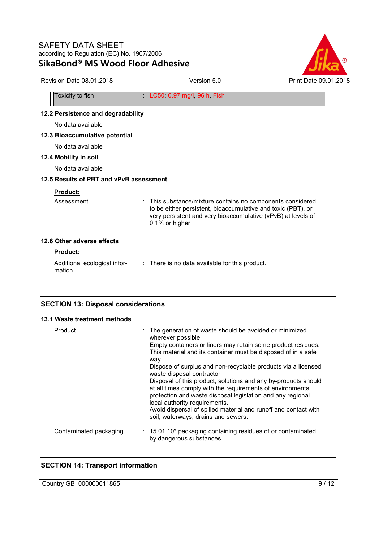

| JINUDVIIU<br><b>THE THREE TOOL AND CITY</b> |                                                                                                                                                                                                             |                       |
|---------------------------------------------|-------------------------------------------------------------------------------------------------------------------------------------------------------------------------------------------------------------|-----------------------|
| Revision Date 08.01.2018                    | Version 5.0                                                                                                                                                                                                 | Print Date 09.01.2018 |
| Toxicity to fish                            | $LC50$ 0,97 mg/l, 96 h, Fish                                                                                                                                                                                |                       |
| 12.2 Persistence and degradability          |                                                                                                                                                                                                             |                       |
| No data available                           |                                                                                                                                                                                                             |                       |
| 12.3 Bioaccumulative potential              |                                                                                                                                                                                                             |                       |
| No data available                           |                                                                                                                                                                                                             |                       |
| 12.4 Mobility in soil                       |                                                                                                                                                                                                             |                       |
| No data available                           |                                                                                                                                                                                                             |                       |
| 12.5 Results of PBT and vPvB assessment     |                                                                                                                                                                                                             |                       |
| Product:                                    |                                                                                                                                                                                                             |                       |
| Assessment                                  | This substance/mixture contains no components considered<br>to be either persistent, bioaccumulative and toxic (PBT), or<br>very persistent and very bioaccumulative (vPvB) at levels of<br>0.1% or higher. |                       |
| 12.6 Other adverse effects                  |                                                                                                                                                                                                             |                       |
| <b>Product:</b>                             |                                                                                                                                                                                                             |                       |
| Additional ecological infor-<br>mation      | : There is no data available for this product.                                                                                                                                                              |                       |
| <b>SECTION 13: Disposal considerations</b>  |                                                                                                                                                                                                             |                       |

#### **13.1 Waste treatment methods**

| Product                | : The generation of waste should be avoided or minimized<br>wherever possible.<br>Empty containers or liners may retain some product residues.<br>This material and its container must be disposed of in a safe<br>way.<br>Dispose of surplus and non-recyclable products via a licensed<br>waste disposal contractor.<br>Disposal of this product, solutions and any by-products should<br>at all times comply with the requirements of environmental<br>protection and waste disposal legislation and any regional<br>local authority requirements.<br>Avoid dispersal of spilled material and runoff and contact with<br>soil, waterways, drains and sewers. |
|------------------------|-----------------------------------------------------------------------------------------------------------------------------------------------------------------------------------------------------------------------------------------------------------------------------------------------------------------------------------------------------------------------------------------------------------------------------------------------------------------------------------------------------------------------------------------------------------------------------------------------------------------------------------------------------------------|
| Contaminated packaging | $\therefore$ 15 01 10* packaging containing residues of or contaminated<br>by dangerous substances                                                                                                                                                                                                                                                                                                                                                                                                                                                                                                                                                              |

# **SECTION 14: Transport information**

Country GB 000000611865 9/12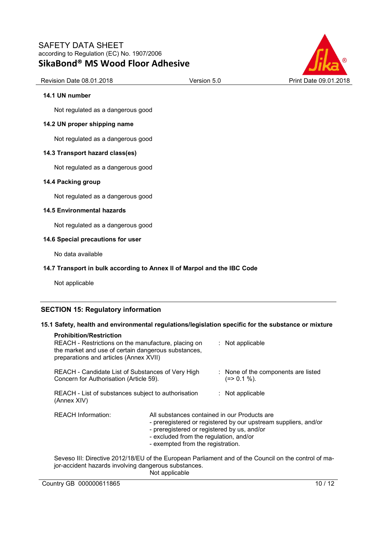

#### Revision Date 08.01.2018 Version 5.0 Print Date 09.01.2018

#### **14.1 UN number**

Not regulated as a dangerous good

#### **14.2 UN proper shipping name**

Not regulated as a dangerous good

#### **14.3 Transport hazard class(es)**

Not regulated as a dangerous good

#### **14.4 Packing group**

Not regulated as a dangerous good

#### **14.5 Environmental hazards**

Not regulated as a dangerous good

#### **14.6 Special precautions for user**

No data available

#### **14.7 Transport in bulk according to Annex II of Marpol and the IBC Code**

Not applicable

#### **SECTION 15: Regulatory information**

#### **15.1 Safety, health and environmental regulations/legislation specific for the substance or mixture**

| <b>Prohibition/Restriction</b><br>REACH - Restrictions on the manufacture, placing on<br>the market and use of certain dangerous substances,<br>preparations and articles (Annex XVII) |                                                                                                                                                                            | : Not applicable                                                                                     |
|----------------------------------------------------------------------------------------------------------------------------------------------------------------------------------------|----------------------------------------------------------------------------------------------------------------------------------------------------------------------------|------------------------------------------------------------------------------------------------------|
| REACH - Candidate List of Substances of Very High<br>Concern for Authorisation (Article 59).                                                                                           |                                                                                                                                                                            | : None of the components are listed<br>$(=>0.1\%).$                                                  |
| REACH - List of substances subject to authorisation<br>(Annex XIV)                                                                                                                     |                                                                                                                                                                            | $:$ Not applicable                                                                                   |
| <b>REACH Information:</b>                                                                                                                                                              | All substances contained in our Products are<br>- preregistered or registered by us, and/or<br>- excluded from the regulation, and/or<br>- exempted from the registration. | - preregistered or registered by our upstream suppliers, and/or                                      |
| jor-accident hazards involving dangerous substances.                                                                                                                                   |                                                                                                                                                                            | Seveso III: Directive 2012/18/EU of the European Parliament and of the Council on the control of ma- |

Not applicable

Country GB 000000611865 10 / 12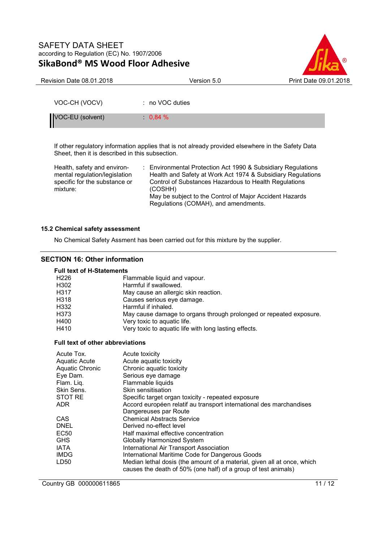

| <b>Revision Date 08.01.2018</b> | Version 5.0       | Print Date 09.01.2018 |
|---------------------------------|-------------------|-----------------------|
|                                 |                   |                       |
| VOC-CH (VOCV)                   | $: no VOC$ duties |                       |
| VOC-EU (solvent)                | 0,84%             |                       |

If other regulatory information applies that is not already provided elsewhere in the Safety Data Sheet, then it is described in this subsection.

Health, safety and environmental regulation/legislation specific for the substance or mixture:

: Environmental Protection Act 1990 & Subsidiary Regulations Health and Safety at Work Act 1974 & Subsidiary Regulations Control of Substances Hazardous to Health Regulations (COSHH) May be subject to the Control of Major Accident Hazards Regulations (COMAH), and amendments.

#### **15.2 Chemical safety assessment**

No Chemical Safety Assment has been carried out for this mixture by the supplier.

#### **SECTION 16: Other information**

#### **Full text of H-Statements**

| H226 | Flammable liquid and vapour.                                       |
|------|--------------------------------------------------------------------|
| H302 | Harmful if swallowed.                                              |
| H317 | May cause an allergic skin reaction.                               |
| H318 | Causes serious eye damage.                                         |
| H332 | Harmful if inhaled.                                                |
| H373 | May cause damage to organs through prolonged or repeated exposure. |
| H400 | Very toxic to aquatic life.                                        |
| H410 | Very toxic to aquatic life with long lasting effects.              |
|      |                                                                    |

#### **Full text of other abbreviations**

| Acute Tox.      | Acute toxicity                                                          |  |
|-----------------|-------------------------------------------------------------------------|--|
| Aquatic Acute   | Acute aguatic toxicity                                                  |  |
| Aquatic Chronic | Chronic aquatic toxicity                                                |  |
| Eye Dam.        | Serious eye damage                                                      |  |
| Flam. Liq.      | Flammable liquids                                                       |  |
| Skin Sens.      | Skin sensitisation                                                      |  |
| STOT RE         | Specific target organ toxicity - repeated exposure                      |  |
| ADR             | Accord européen relatif au transport international des marchandises     |  |
|                 | Dangereuses par Route                                                   |  |
| CAS.            | <b>Chemical Abstracts Service</b>                                       |  |
| <b>DNEL</b>     | Derived no-effect level                                                 |  |
| EC50            | Half maximal effective concentration                                    |  |
| <b>GHS</b>      | Globally Harmonized System                                              |  |
| <b>IATA</b>     | <b>International Air Transport Association</b>                          |  |
| <b>IMDG</b>     | International Maritime Code for Dangerous Goods                         |  |
| LD50            | Median lethal dosis (the amount of a material, given all at once, which |  |
|                 | causes the death of 50% (one half) of a group of test animals)          |  |

Country GB 000000611865 11 / 12